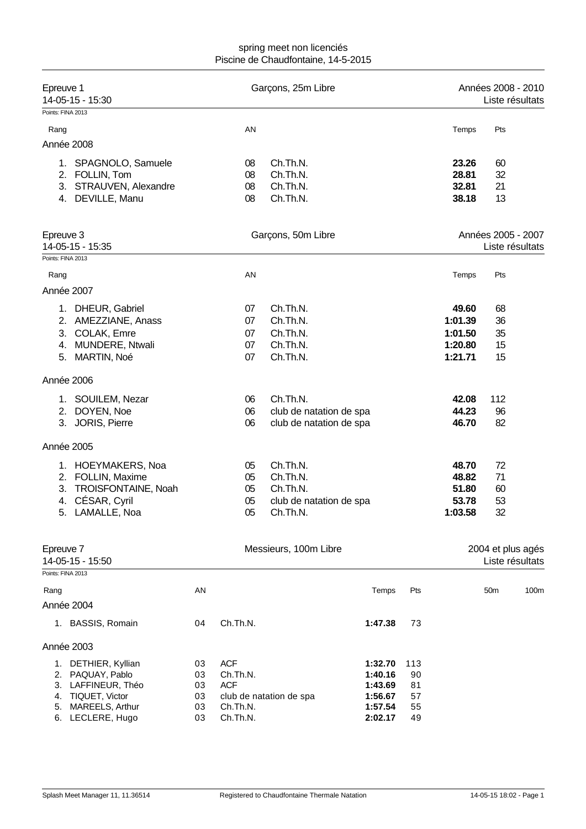| Epreuve 1                     | 14-05-15 - 15:30                  |          | Garçons, 25m Libre |                         |                    |                                       |         | Années 2008 - 2010<br>Liste résultats |                 |  |
|-------------------------------|-----------------------------------|----------|--------------------|-------------------------|--------------------|---------------------------------------|---------|---------------------------------------|-----------------|--|
| Points: FINA 2013             |                                   |          |                    |                         |                    |                                       |         |                                       |                 |  |
| Rang                          |                                   |          | AN                 |                         |                    |                                       | Temps   | Pts                                   |                 |  |
|                               | Année 2008                        |          |                    |                         |                    |                                       |         |                                       |                 |  |
|                               | 1. SPAGNOLO, Samuele              |          | 08                 | Ch.Th.N.                |                    |                                       | 23.26   | 60                                    |                 |  |
|                               | 2. FOLLIN, Tom                    |          | 08                 | Ch.Th.N.                |                    |                                       | 28.81   | 32                                    |                 |  |
|                               | 3. STRAUVEN, Alexandre            |          | 08                 | Ch.Th.N.                |                    |                                       | 32.81   | 21                                    |                 |  |
|                               | 4. DEVILLE, Manu                  |          | 08                 | Ch.Th.N.                |                    |                                       | 38.18   | 13                                    |                 |  |
| Epreuve 3<br>14-05-15 - 15:35 |                                   |          | Garçons, 50m Libre |                         |                    | Années 2005 - 2007<br>Liste résultats |         |                                       |                 |  |
| Points: FINA 2013             |                                   |          |                    |                         |                    |                                       |         |                                       |                 |  |
| Rang                          |                                   |          | AN                 |                         |                    |                                       | Temps   | Pts                                   |                 |  |
|                               | Année 2007                        |          |                    |                         |                    |                                       |         |                                       |                 |  |
|                               | 1. DHEUR, Gabriel                 |          | 07                 | Ch.Th.N.                |                    |                                       | 49.60   | 68                                    |                 |  |
|                               | 2. AMEZZIANE, Anass               |          | 07                 | Ch.Th.N.                |                    |                                       | 1:01.39 | 36                                    |                 |  |
| 3.                            | COLAK, Emre                       |          | 07                 | Ch.Th.N.                |                    |                                       | 1:01.50 | 35                                    |                 |  |
| 4.                            | <b>MUNDERE, Ntwali</b>            |          | 07                 | Ch.Th.N.                |                    |                                       | 1:20.80 | 15                                    |                 |  |
| 5.                            | MARTIN, Noé                       |          | 07                 | Ch.Th.N.                |                    |                                       | 1:21.71 | 15                                    |                 |  |
|                               | Année 2006                        |          |                    |                         |                    |                                       |         |                                       |                 |  |
|                               | 1. SOUILEM, Nezar                 |          | 06                 | Ch.Th.N.                |                    |                                       | 42.08   | 112                                   |                 |  |
|                               | 2. DOYEN, Noe                     |          | 06                 | club de natation de spa |                    |                                       | 44.23   | 96                                    |                 |  |
|                               | 3. JORIS, Pierre                  |          | 06                 | club de natation de spa |                    |                                       | 46.70   | 82                                    |                 |  |
|                               | Année 2005                        |          |                    |                         |                    |                                       |         |                                       |                 |  |
|                               | 1. HOEYMAKERS, Noa                |          | 05                 | Ch.Th.N.                |                    |                                       | 48.70   | 72                                    |                 |  |
|                               | 2. FOLLIN, Maxime                 |          | 05                 | Ch.Th.N.                |                    |                                       | 48.82   | 71                                    |                 |  |
|                               | 3. TROISFONTAINE, Noah            |          | 05                 | Ch.Th.N.                |                    |                                       | 51.80   | 60                                    |                 |  |
| 4.                            | CÉSAR, Cyril                      |          | 05                 | club de natation de spa |                    |                                       | 53.78   | 53                                    |                 |  |
|                               | 5. LAMALLE, Noa                   |          | 05                 | Ch.Th.N.                |                    |                                       | 1:03.58 | 32                                    |                 |  |
| Epreuve 7                     | 14-05-15 - 15:50                  |          |                    | Messieurs, 100m Libre   |                    |                                       |         | 2004 et plus agés                     | Liste résultats |  |
| Points: FINA 2013             |                                   |          |                    |                         |                    |                                       |         |                                       |                 |  |
| Rang                          |                                   | AN       |                    |                         | Temps              | Pts                                   |         | 50 <sub>m</sub>                       | 100m            |  |
|                               | Année 2004                        |          |                    |                         |                    |                                       |         |                                       |                 |  |
|                               | 1. BASSIS, Romain                 | 04       | Ch.Th.N.           |                         | 1:47.38            | 73                                    |         |                                       |                 |  |
|                               | Année 2003                        |          |                    |                         |                    |                                       |         |                                       |                 |  |
| 1.                            | DETHIER, Kyllian                  | 03       | <b>ACF</b>         |                         | 1:32.70            | 113                                   |         |                                       |                 |  |
| 2.                            | PAQUAY, Pablo                     | 03       | Ch.Th.N.           |                         | 1:40.16            | 90                                    |         |                                       |                 |  |
| 3.                            | LAFFINEUR, Théo                   | 03       | <b>ACF</b>         |                         | 1:43.69            | 81                                    |         |                                       |                 |  |
| 4.                            | TIQUET, Victor<br>MAREELS, Arthur | 03<br>03 | Ch.Th.N.           | club de natation de spa | 1:56.67<br>1:57.54 | 57<br>55                              |         |                                       |                 |  |
| 5.                            | 6. LECLERE, Hugo                  | 03       | Ch.Th.N.           |                         | 2:02.17            | 49                                    |         |                                       |                 |  |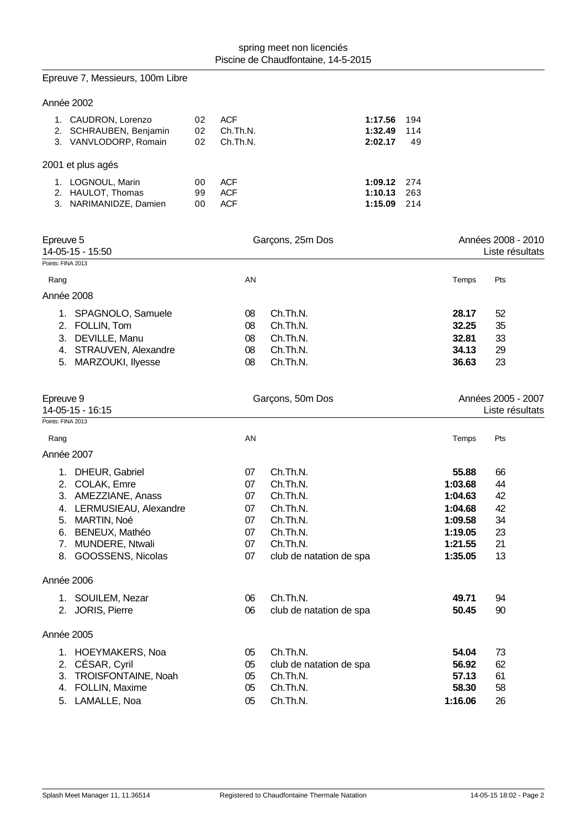|                   | Epreuve 7, Messieurs, 100m Libre                                       |                |                                        |                                     |                                   |                  |                    |                                       |
|-------------------|------------------------------------------------------------------------|----------------|----------------------------------------|-------------------------------------|-----------------------------------|------------------|--------------------|---------------------------------------|
|                   | Année 2002                                                             |                |                                        |                                     |                                   |                  |                    |                                       |
|                   | 1. CAUDRON, Lorenzo<br>2. SCHRAUBEN, Benjamin<br>3. VANVLODORP, Romain | 02<br>02<br>02 | <b>ACF</b><br>Ch.Th.N.<br>Ch.Th.N.     |                                     | 1:17.56<br>1:32.49<br>2:02.17     | 194<br>114<br>49 |                    |                                       |
|                   | 2001 et plus agés                                                      |                |                                        |                                     |                                   |                  |                    |                                       |
|                   | 1. LOGNOUL, Marin<br>2. HAULOT, Thomas<br>3. NARIMANIDZE, Damien       | 00<br>99<br>00 | <b>ACF</b><br><b>ACF</b><br><b>ACF</b> |                                     | 1:09.12<br>1:10.13<br>1:15.09 214 | 274<br>263       |                    |                                       |
| Epreuve 5         | 14-05-15 - 15:50                                                       |                |                                        | Garçons, 25m Dos                    |                                   |                  |                    | Années 2008 - 2010<br>Liste résultats |
| Points: FINA 2013 |                                                                        |                |                                        |                                     |                                   |                  |                    |                                       |
| Rang              |                                                                        |                | AN                                     |                                     |                                   |                  | Temps              | Pts                                   |
|                   | Année 2008                                                             |                |                                        |                                     |                                   |                  |                    |                                       |
|                   | 1. SPAGNOLO, Samuele                                                   |                | 08                                     | Ch.Th.N.                            |                                   |                  | 28.17              | 52                                    |
|                   | 2. FOLLIN, Tom                                                         |                | 08                                     | Ch.Th.N.                            |                                   |                  | 32.25              | 35                                    |
|                   | 3. DEVILLE, Manu                                                       |                | 08                                     | Ch.Th.N.                            |                                   |                  | 32.81              | 33                                    |
|                   | 4. STRAUVEN, Alexandre                                                 |                | 08                                     | Ch.Th.N.                            |                                   |                  | 34.13              | 29                                    |
| 5.                | MARZOUKI, Ilyesse                                                      |                | 08                                     | Ch.Th.N.                            |                                   |                  | 36.63              | 23                                    |
| Epreuve 9         | 14-05-15 - 16:15                                                       |                |                                        | Garçons, 50m Dos                    |                                   |                  |                    | Années 2005 - 2007<br>Liste résultats |
| Points: FINA 2013 |                                                                        |                |                                        |                                     |                                   |                  |                    |                                       |
| Rang              |                                                                        |                | AN                                     |                                     |                                   |                  | Temps              | Pts                                   |
|                   | Année 2007                                                             |                |                                        |                                     |                                   |                  |                    |                                       |
|                   | 1. DHEUR, Gabriel                                                      |                | 07                                     | Ch.Th.N.                            |                                   |                  | 55.88              | 66                                    |
|                   | 2. COLAK, Emre                                                         |                | 07                                     | Ch.Th.N.                            |                                   |                  | 1:03.68            | 44                                    |
|                   | 3. AMEZZIANE, Anass                                                    |                | 07                                     | Ch.Th.N.                            |                                   |                  | 1:04.63            | 42                                    |
|                   | 4. LERMUSIEAU, Alexandre                                               |                | 07                                     | Ch.Th.N.                            |                                   |                  | 1:04.68            | 42                                    |
|                   | 5. MARTIN, Noé                                                         |                | 07                                     | Ch.Th.N.                            |                                   |                  | 1:09.58            | 34                                    |
|                   | 6. BENEUX, Mathéo                                                      |                | 07                                     | Ch.Th.N.                            |                                   |                  | 1:19.05            | 23                                    |
|                   | 7. MUNDERE, Ntwali<br>8. GOOSSENS, Nicolas                             |                | 07<br>07                               | Ch.Th.N.<br>club de natation de spa |                                   |                  | 1:21.55<br>1:35.05 | 21<br>13                              |
|                   |                                                                        |                |                                        |                                     |                                   |                  |                    |                                       |
|                   | Année 2006                                                             |                |                                        |                                     |                                   |                  |                    |                                       |
|                   | 1. SOUILEM, Nezar                                                      |                | 06                                     | Ch.Th.N.                            |                                   |                  | 49.71              | 94                                    |
|                   | 2. JORIS, Pierre                                                       |                | 06                                     | club de natation de spa             |                                   |                  | 50.45              | 90                                    |
|                   | Année 2005                                                             |                |                                        |                                     |                                   |                  |                    |                                       |
|                   | 1. HOEYMAKERS, Noa                                                     |                | 05                                     | Ch.Th.N.                            |                                   |                  | 54.04              | 73                                    |
|                   | 2. CÉSAR, Cyril                                                        |                | 05                                     | club de natation de spa             |                                   |                  | 56.92              | 62                                    |
|                   | 3. TROISFONTAINE, Noah                                                 |                | 05                                     | Ch.Th.N.                            |                                   |                  | 57.13              | 61                                    |
|                   | 4. FOLLIN, Maxime                                                      |                | 05                                     | Ch.Th.N.                            |                                   |                  | 58.30              | 58                                    |
|                   | 5. LAMALLE, Noa                                                        |                | 05                                     | Ch.Th.N.                            |                                   |                  | 1:16.06            | 26                                    |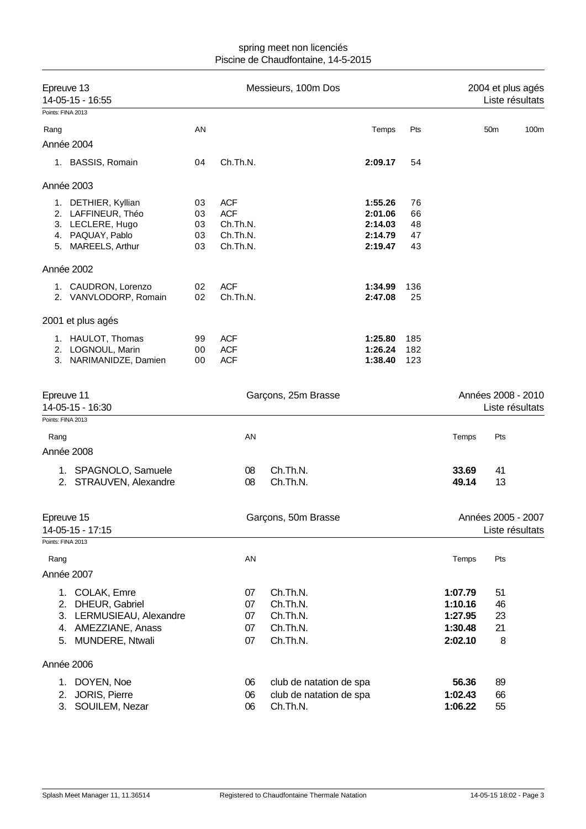| Epreuve 13<br>14-05-15 - 16:55 |                                      |          | Messieurs, 100m Dos  | 2004 et plus agés<br>Liste résultats |                    |          |         |                                       |      |
|--------------------------------|--------------------------------------|----------|----------------------|--------------------------------------|--------------------|----------|---------|---------------------------------------|------|
|                                | Points: FINA 2013                    |          |                      |                                      |                    |          |         |                                       |      |
| Rang                           |                                      | AN       |                      |                                      | Temps              | Pts      |         | 50 <sub>m</sub>                       | 100m |
|                                | Année 2004                           |          |                      |                                      |                    |          |         |                                       |      |
|                                | 1. BASSIS, Romain                    | 04       | Ch.Th.N.             |                                      | 2:09.17            | 54       |         |                                       |      |
|                                | Année 2003                           |          |                      |                                      |                    |          |         |                                       |      |
|                                | 1. DETHIER, Kyllian                  | 03       | <b>ACF</b>           |                                      | 1:55.26            | 76       |         |                                       |      |
|                                | 2. LAFFINEUR, Théo                   | 03       | <b>ACF</b>           |                                      | 2:01.06            | 66       |         |                                       |      |
|                                | 3. LECLERE, Hugo<br>4. PAQUAY, Pablo | 03<br>03 | Ch.Th.N.<br>Ch.Th.N. |                                      | 2:14.03<br>2:14.79 | 48<br>47 |         |                                       |      |
|                                | 5. MAREELS, Arthur                   | 03       | Ch.Th.N.             |                                      | 2:19.47            | 43       |         |                                       |      |
|                                | Année 2002                           |          |                      |                                      |                    |          |         |                                       |      |
|                                | 1. CAUDRON, Lorenzo                  | 02       | <b>ACF</b>           |                                      | 1:34.99            | 136      |         |                                       |      |
|                                | 2. VANVLODORP, Romain                | 02       | Ch.Th.N.             |                                      | 2:47.08            | 25       |         |                                       |      |
|                                | 2001 et plus agés                    |          |                      |                                      |                    |          |         |                                       |      |
|                                | 1. HAULOT, Thomas                    | 99       | <b>ACF</b>           |                                      | 1:25.80            | 185      |         |                                       |      |
|                                | 2. LOGNOUL, Marin                    | 00       | <b>ACF</b>           |                                      | 1:26.24            | 182      |         |                                       |      |
|                                | 3. NARIMANIDZE, Damien               | 00       | <b>ACF</b>           |                                      | 1:38.40            | 123      |         |                                       |      |
|                                | Epreuve 11<br>14-05-15 - 16:30       |          |                      | Garçons, 25m Brasse                  |                    |          |         | Années 2008 - 2010<br>Liste résultats |      |
|                                | Points: FINA 2013                    |          |                      |                                      |                    |          |         |                                       |      |
| Rang                           |                                      |          | AN                   |                                      |                    |          | Temps   | Pts                                   |      |
|                                | Année 2008                           |          |                      |                                      |                    |          |         |                                       |      |
|                                | 1. SPAGNOLO, Samuele                 |          | 08                   | Ch.Th.N.                             |                    |          | 33.69   | 41                                    |      |
|                                | 2. STRAUVEN, Alexandre               |          | 08                   | Ch.Th.N.                             |                    |          | 49.14   | 13                                    |      |
|                                | Epreuve 15                           |          |                      | Garçons, 50m Brasse                  |                    |          |         | Années 2005 - 2007                    |      |
|                                | 14-05-15 - 17:15                     |          |                      |                                      |                    |          |         | Liste résultats                       |      |
|                                | Points: FINA 2013                    |          |                      |                                      |                    |          |         |                                       |      |
| Rang                           |                                      |          | AN                   |                                      |                    |          | Temps   | Pts                                   |      |
|                                | Année 2007                           |          |                      |                                      |                    |          |         |                                       |      |
|                                | 1. COLAK, Emre                       |          | 07                   | Ch.Th.N.                             |                    |          | 1:07.79 | 51                                    |      |
|                                | 2. DHEUR, Gabriel                    |          | 07                   | Ch.Th.N.                             |                    |          | 1:10.16 | 46                                    |      |
|                                | 3. LERMUSIEAU, Alexandre             |          | 07                   | Ch.Th.N.                             |                    |          | 1:27.95 | 23                                    |      |
|                                | 4. AMEZZIANE, Anass                  |          | 07                   | Ch.Th.N.                             |                    |          | 1:30.48 | 21                                    |      |
|                                | 5. MUNDERE, Ntwali                   |          | 07                   | Ch.Th.N.                             |                    |          | 2:02.10 | 8                                     |      |
|                                | Année 2006                           |          |                      |                                      |                    |          |         |                                       |      |
|                                | 1. DOYEN, Noe                        |          | 06                   | club de natation de spa              |                    |          | 56.36   | 89                                    |      |
|                                | 2. JORIS, Pierre                     |          | 06                   | club de natation de spa              |                    |          | 1:02.43 | 66                                    |      |
|                                | SOUILEM, Nezar<br>3.                 |          | 06                   | Ch.Th.N.                             |                    |          | 1:06.22 | 55                                    |      |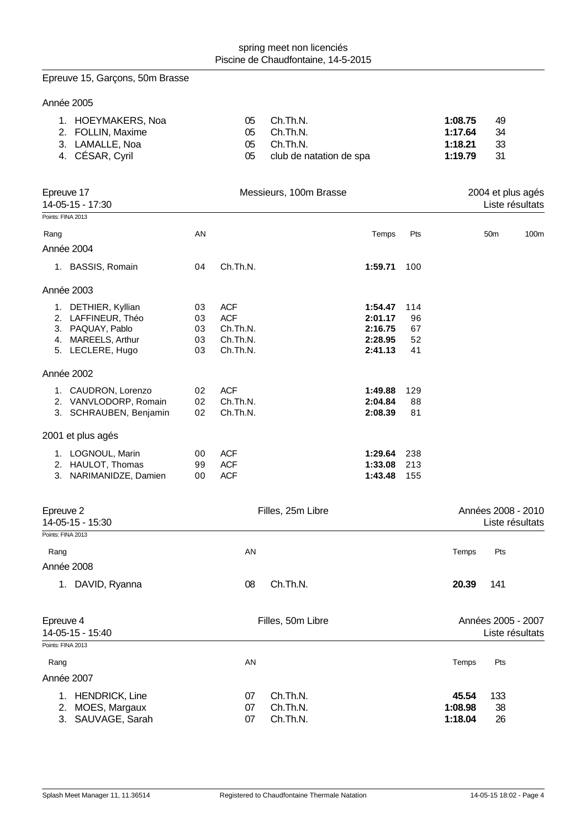# Epreuve 15, Garçons, 50m Brasse

Année 2005

| 1. HOEYMAKERS, Noa | 05 | Ch.Th.N.                | 1:08.75 | 49   |
|--------------------|----|-------------------------|---------|------|
| 2. FOLLIN, Maxime  |    | 05 Ch.Th.N.             | 1:17.64 | - 34 |
| 3. LAMALLE, Noa    |    | 05 Ch.Th.N.             | 1:18.21 | -33  |
| 4. CÉSAR, Cyril    | 05 | club de natation de spa | 1:19.79 | - 31 |

| Epreuve 17<br>14-05-15 - 17:30 |                                                                                                         | Messieurs, 100m Brasse     |                                                              |                      |                                                     |                             |                  | 2004 et plus agés<br>Liste résultats |                                       |  |
|--------------------------------|---------------------------------------------------------------------------------------------------------|----------------------------|--------------------------------------------------------------|----------------------|-----------------------------------------------------|-----------------------------|------------------|--------------------------------------|---------------------------------------|--|
|                                | Points: FINA 2013                                                                                       |                            |                                                              |                      |                                                     |                             |                  |                                      |                                       |  |
| Rang                           |                                                                                                         | AN                         |                                                              |                      | Temps                                               | Pts                         |                  | 50 <sub>m</sub>                      | 100m                                  |  |
|                                | Année 2004                                                                                              |                            |                                                              |                      |                                                     |                             |                  |                                      |                                       |  |
|                                | 1. BASSIS, Romain                                                                                       | 04                         | Ch.Th.N.                                                     |                      | 1:59.71                                             | 100                         |                  |                                      |                                       |  |
|                                | Année 2003                                                                                              |                            |                                                              |                      |                                                     |                             |                  |                                      |                                       |  |
|                                | 1. DETHIER, Kyllian<br>2. LAFFINEUR, Théo<br>3. PAQUAY, Pablo<br>4. MAREELS, Arthur<br>5. LECLERE, Hugo | 03<br>03<br>03<br>03<br>03 | <b>ACF</b><br><b>ACF</b><br>Ch.Th.N.<br>Ch.Th.N.<br>Ch.Th.N. |                      | 1:54.47<br>2:01.17<br>2:16.75<br>2:28.95<br>2:41.13 | 114<br>96<br>67<br>52<br>41 |                  |                                      |                                       |  |
|                                | Année 2002                                                                                              |                            |                                                              |                      |                                                     |                             |                  |                                      |                                       |  |
|                                | 1. CAUDRON, Lorenzo<br>2. VANVLODORP, Romain<br>3. SCHRAUBEN, Benjamin                                  | 02<br>02<br>02             | <b>ACF</b><br>Ch.Th.N.<br>Ch.Th.N.                           |                      | 1:49.88<br>2:04.84<br>2:08.39                       | 129<br>88<br>81             |                  |                                      |                                       |  |
|                                | 2001 et plus agés                                                                                       |                            |                                                              |                      |                                                     |                             |                  |                                      |                                       |  |
|                                | 1. LOGNOUL, Marin<br>2. HAULOT, Thomas<br>3. NARIMANIDZE, Damien                                        | 00<br>99<br>00             | <b>ACF</b><br><b>ACF</b><br><b>ACF</b>                       |                      | 1:29.64<br>1:33.08<br>1:43.48                       | 238<br>213<br>155           |                  |                                      |                                       |  |
|                                | Epreuve 2<br>14-05-15 - 15:30                                                                           |                            |                                                              | Filles, 25m Libre    |                                                     |                             |                  |                                      | Années 2008 - 2010<br>Liste résultats |  |
|                                | Points: FINA 2013                                                                                       |                            |                                                              |                      |                                                     |                             |                  |                                      |                                       |  |
| Rang                           |                                                                                                         |                            | AN                                                           |                      |                                                     |                             | Temps            | Pts                                  |                                       |  |
|                                | Année 2008                                                                                              |                            |                                                              |                      |                                                     |                             |                  |                                      |                                       |  |
|                                | 1. DAVID, Ryanna                                                                                        |                            | 08                                                           | Ch.Th.N.             |                                                     |                             | 20.39            | 141                                  |                                       |  |
|                                | Epreuve 4<br>14-05-15 - 15:40                                                                           |                            |                                                              | Filles, 50m Libre    |                                                     |                             |                  |                                      | Années 2005 - 2007<br>Liste résultats |  |
|                                | Points: FINA 2013                                                                                       |                            |                                                              |                      |                                                     |                             |                  |                                      |                                       |  |
| Rang                           | Année 2007                                                                                              |                            | AN                                                           |                      |                                                     |                             | Temps            | Pts                                  |                                       |  |
|                                | 1. HENDRICK, Line<br>2. MOES, Margaux                                                                   |                            | 07<br>07                                                     | Ch.Th.N.<br>Ch.Th.N. |                                                     |                             | 45.54<br>1:08.98 | 133<br>38                            |                                       |  |

3. SAUVAGE, Sarah 07 Ch.Th.N. **1:18.04** 26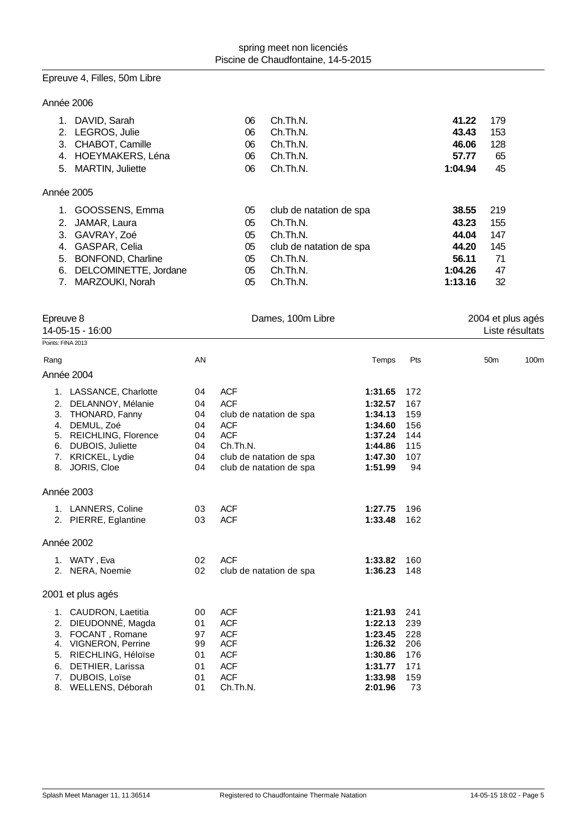# Epreuve 4, Filles, 50m Libre

## Année 2006

|            | 1. DAVID, Sarah     | 06 | Ch.Th.N.                | 41.22   | 179 |
|------------|---------------------|----|-------------------------|---------|-----|
|            | 2. LEGROS, Julie    | 06 | Ch.Th.N.                | 43.43   | 153 |
|            | 3. CHABOT, Camille  | 06 | Ch.Th.N.                | 46.06   | 128 |
|            | 4. HOEYMAKERS, Léna | 06 | Ch.Th.N.                | 57.77   | 65  |
|            | 5. MARTIN, Juliette | 06 | Ch.Th.N.                | 1:04.94 | 45  |
| Année 2005 |                     |    |                         |         |     |
|            | 1. GOOSSENS, Emma   | 05 | club de natation de spa | 38.55   | 219 |
|            | 2. JAMAR, Laura     | 05 | Ch.Th.N.                | 43.23   | 155 |
|            | 3. GAVRAY, Zoé      | 05 | Ch.Th.N.                | 44.04   | 147 |

| 4. GASPAR, Celia         | 05. | club de natation de spa | 44.20   | 145  |
|--------------------------|-----|-------------------------|---------|------|
| 5. BONFOND, Charline     | 05. | Ch.Th.N.                | 56.11   | - 71 |
| 6. DELCOMINETTE, Jordane |     | 05 Ch.Th.N.             | 1:04.26 | -47  |
| 7. MARZOUKI Norah        | 05. | Ch.Th.N.                | 1:13.16 | - 32 |

| Epreuve 8<br>14-05-15 - 16:00          |                                                                                                                                                                       |                                              | Dames, 100m Libre                                                                                                                                 | 2004 et plus agés<br>Liste résultats                                                 |                                                     |                 |      |
|----------------------------------------|-----------------------------------------------------------------------------------------------------------------------------------------------------------------------|----------------------------------------------|---------------------------------------------------------------------------------------------------------------------------------------------------|--------------------------------------------------------------------------------------|-----------------------------------------------------|-----------------|------|
| Points: FINA 2013                      |                                                                                                                                                                       |                                              |                                                                                                                                                   |                                                                                      |                                                     |                 |      |
| Rang                                   |                                                                                                                                                                       | AN                                           |                                                                                                                                                   | Temps                                                                                | Pts                                                 | 50 <sub>m</sub> | 100m |
|                                        | Année 2004                                                                                                                                                            |                                              |                                                                                                                                                   |                                                                                      |                                                     |                 |      |
| 2.<br>3.<br>4.<br>6.<br>7.             | 1. LASSANCE, Charlotte<br>DELANNOY, Mélanie<br>THONARD, Fanny<br>DEMUL, Zoé<br>5. REICHLING, Florence<br>DUBOIS, Juliette<br>KRICKEL, Lydie<br>8. JORIS, Cloe         | 04<br>04<br>04<br>04<br>04<br>04<br>04<br>04 | <b>ACF</b><br><b>ACF</b><br>club de natation de spa<br><b>ACF</b><br><b>ACF</b><br>Ch.Th.N.<br>club de natation de spa<br>club de natation de spa | 1:31.65<br>1:32.57<br>1:34.13<br>1:34.60<br>1:37.24<br>1:44.86<br>1:47.30<br>1:51.99 | 172<br>167<br>159<br>156<br>144<br>115<br>107<br>94 |                 |      |
|                                        | Année 2003                                                                                                                                                            |                                              |                                                                                                                                                   |                                                                                      |                                                     |                 |      |
|                                        | 1. LANNERS, Coline<br>2. PIERRE, Eglantine                                                                                                                            | 03<br>03                                     | <b>ACF</b><br><b>ACF</b>                                                                                                                          | 1:27.75<br>1:33.48                                                                   | 196<br>162                                          |                 |      |
|                                        | Année 2002                                                                                                                                                            |                                              |                                                                                                                                                   |                                                                                      |                                                     |                 |      |
|                                        | 1. WATY, Eva<br>2. NERA, Noemie                                                                                                                                       | 02<br>02                                     | <b>ACF</b><br>club de natation de spa                                                                                                             | 1:33.82<br>1:36.23                                                                   | 160<br>148                                          |                 |      |
|                                        | 2001 et plus agés                                                                                                                                                     |                                              |                                                                                                                                                   |                                                                                      |                                                     |                 |      |
| 1.<br>2.<br>3.<br>4.<br>5.<br>6.<br>7. | CAUDRON, Laetitia<br>DIEUDONNÉ, Magda<br>FOCANT, Romane<br><b>VIGNERON, Perrine</b><br>RIECHLING, Héloïse<br>DETHIER, Larissa<br>DUBOIS, Loïse<br>8. WELLENS, Déborah | 00<br>01<br>97<br>99<br>01<br>01<br>01<br>01 | <b>ACF</b><br><b>ACF</b><br><b>ACF</b><br><b>ACF</b><br><b>ACF</b><br><b>ACF</b><br><b>ACF</b><br>Ch.Th.N.                                        | 1:21.93<br>1:22.13<br>1:23.45<br>1:26.32<br>1:30.86<br>1:31.77<br>1:33.98<br>2:01.96 | 241<br>239<br>228<br>206<br>176<br>171<br>159<br>73 |                 |      |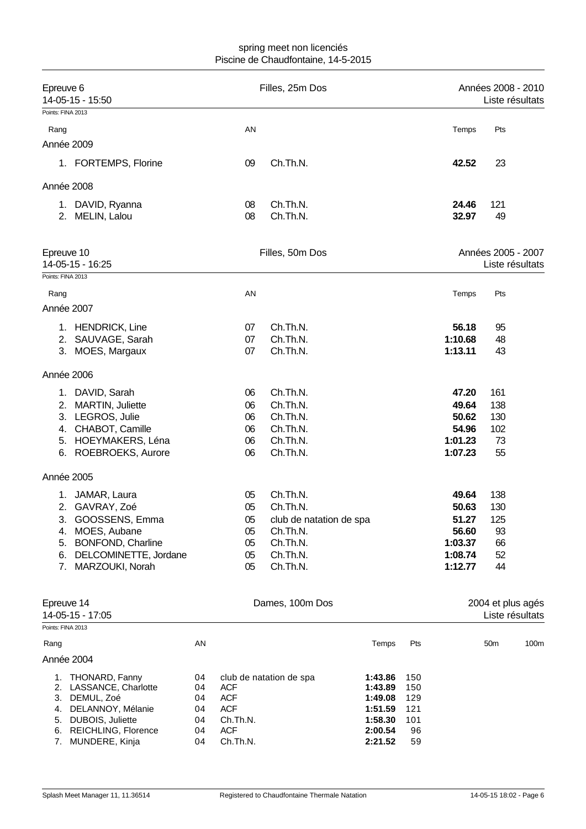| Epreuve 6<br>Points: FINA 2013 | 14-05-15 - 15:50                                  |          |                        | Filles, 25m Dos         |                    |                    | Années 2008 - 2010 | Liste résultats |
|--------------------------------|---------------------------------------------------|----------|------------------------|-------------------------|--------------------|--------------------|--------------------|-----------------|
| Rang                           |                                                   |          | AN                     |                         |                    | Temps              | Pts                |                 |
| Année 2009                     |                                                   |          |                        |                         |                    |                    |                    |                 |
|                                | 1. FORTEMPS, Florine                              |          | 09                     | Ch.Th.N.                |                    | 42.52              | 23                 |                 |
| Année 2008                     |                                                   |          |                        |                         |                    |                    |                    |                 |
|                                | 1. DAVID, Ryanna                                  |          | 08                     | Ch.Th.N.                |                    | 24.46              | 121                |                 |
|                                | 2. MELIN, Lalou                                   |          | 08                     | Ch.Th.N.                |                    | 32.97              | 49                 |                 |
| Epreuve 10                     | 14-05-15 - 16:25                                  |          |                        | Filles, 50m Dos         |                    |                    | Années 2005 - 2007 | Liste résultats |
| Points: FINA 2013              |                                                   |          |                        |                         |                    |                    |                    |                 |
| Rang                           |                                                   |          | AN                     |                         |                    | Temps              | Pts                |                 |
| Année 2007                     |                                                   |          |                        |                         |                    |                    |                    |                 |
|                                | 1. HENDRICK, Line                                 |          | 07                     | Ch.Th.N.                |                    | 56.18              | 95                 |                 |
|                                | 2. SAUVAGE, Sarah                                 |          | 07                     | Ch.Th.N.                |                    | 1:10.68            | 48                 |                 |
|                                | 3. MOES, Margaux                                  |          | 07                     | Ch.Th.N.                |                    | 1:13.11            | 43                 |                 |
| Année 2006                     |                                                   |          |                        |                         |                    |                    |                    |                 |
|                                | 1. DAVID, Sarah                                   |          | 06                     | Ch.Th.N.                |                    | 47.20              | 161                |                 |
| 2.                             | MARTIN, Juliette                                  |          | 06                     | Ch.Th.N.                |                    | 49.64              | 138                |                 |
|                                | 3. LEGROS, Julie                                  |          | 06                     | Ch.Th.N.                |                    | 50.62              | 130                |                 |
| 4.                             | CHABOT, Camille<br>5. HOEYMAKERS, Léna            |          | 06<br>06               | Ch.Th.N.<br>Ch.Th.N.    |                    | 54.96<br>1:01.23   | 102<br>73          |                 |
|                                | 6. ROEBROEKS, Aurore                              |          | 06                     | Ch.Th.N.                |                    | 1:07.23            | 55                 |                 |
| Année 2005                     |                                                   |          |                        |                         |                    |                    |                    |                 |
|                                | 1. JAMAR, Laura                                   |          | 05                     | Ch.Th.N.                |                    | 49.64              | 138                |                 |
|                                | 2. GAVRAY, Zoé                                    |          | 05                     | Ch.Th.N.                |                    | 50.63              | 130                |                 |
| 3.                             | GOOSSENS, Emma                                    |          | 05                     | club de natation de spa |                    | 51.27              | 125                |                 |
| 4.                             | MOES, Aubane                                      |          | 05                     | Ch.Th.N.                |                    | 56.60              | 93                 |                 |
| 5.<br>6.                       | <b>BONFOND, Charline</b><br>DELCOMINETTE, Jordane |          | 05<br>05               | Ch.Th.N.<br>Ch.Th.N.    |                    | 1:03.37<br>1:08.74 | 66<br>52           |                 |
| 7.                             | MARZOUKI, Norah                                   |          | 05                     | Ch.Th.N.                |                    | 1:12.77            | 44                 |                 |
| Epreuve 14                     | 14-05-15 - 17:05                                  |          |                        | Dames, 100m Dos         |                    |                    | 2004 et plus agés  | Liste résultats |
| Points: FINA 2013              |                                                   |          |                        |                         |                    |                    |                    |                 |
| Rang                           |                                                   | AN       |                        |                         | Temps              | Pts                | 50 <sub>m</sub>    | 100m            |
| Année 2004                     |                                                   |          |                        |                         |                    |                    |                    |                 |
|                                | 1. THONARD, Fanny<br>2. LASSANCE, Charlotte       | 04<br>04 | <b>ACF</b>             | club de natation de spa | 1:43.86<br>1:43.89 | 150<br>150         |                    |                 |
| 3.                             | DEMUL, Zoé                                        | 04       | <b>ACF</b>             |                         | 1:49.08            | 129                |                    |                 |
| 4.                             | DELANNOY, Mélanie                                 | 04       | <b>ACF</b>             |                         | 1:51.59            | 121                |                    |                 |
|                                | 5. DUBOIS, Juliette                               | 04       | Ch.Th.N.               |                         | 1:58.30            | 101                |                    |                 |
| 7.                             | 6. REICHLING, Florence<br>MUNDERE, Kinja          | 04<br>04 | <b>ACF</b><br>Ch.Th.N. |                         | 2:00.54<br>2:21.52 | 96<br>59           |                    |                 |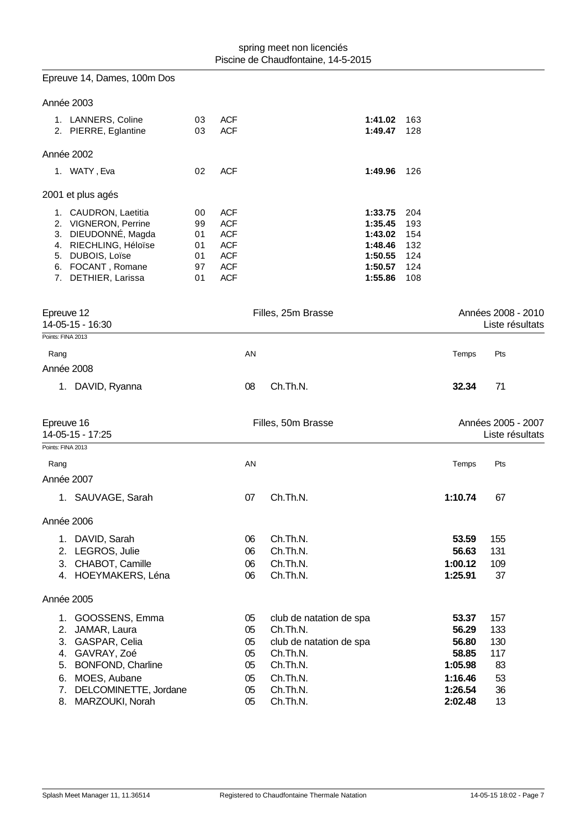| Epreuve 14, Dames, 100m Dos                                                                                                                                      |                                        |                                                                                                |                                                                                                                |                                                                           |                                               |                                                                   |                                            |
|------------------------------------------------------------------------------------------------------------------------------------------------------------------|----------------------------------------|------------------------------------------------------------------------------------------------|----------------------------------------------------------------------------------------------------------------|---------------------------------------------------------------------------|-----------------------------------------------|-------------------------------------------------------------------|--------------------------------------------|
| Année 2003                                                                                                                                                       |                                        |                                                                                                |                                                                                                                |                                                                           |                                               |                                                                   |                                            |
| 1. LANNERS, Coline<br>2. PIERRE, Eglantine                                                                                                                       | 03<br>03                               | <b>ACF</b><br><b>ACF</b>                                                                       |                                                                                                                | 1:41.02<br>1:49.47                                                        | 163<br>128                                    |                                                                   |                                            |
| Année 2002                                                                                                                                                       |                                        |                                                                                                |                                                                                                                |                                                                           |                                               |                                                                   |                                            |
| 1. WATY, Eva                                                                                                                                                     | 02                                     | <b>ACF</b>                                                                                     |                                                                                                                | 1:49.96                                                                   | 126                                           |                                                                   |                                            |
| 2001 et plus agés                                                                                                                                                |                                        |                                                                                                |                                                                                                                |                                                                           |                                               |                                                                   |                                            |
| 1. CAUDRON, Laetitia<br>2. VIGNERON, Perrine<br>3. DIEUDONNÉ, Magda<br>4. RIECHLING, Héloïse<br>5. DUBOIS, Loïse<br>6. FOCANT, Romane<br>7. DETHIER, Larissa     | 00<br>99<br>01<br>01<br>01<br>97<br>01 | <b>ACF</b><br><b>ACF</b><br><b>ACF</b><br><b>ACF</b><br><b>ACF</b><br><b>ACF</b><br><b>ACF</b> |                                                                                                                | 1:33.75<br>1:35.45<br>1:43.02<br>1:48.46<br>1:50.55<br>1:50.57<br>1:55.86 | 204<br>193<br>154<br>132<br>124<br>124<br>108 |                                                                   |                                            |
| Epreuve 12<br>14-05-15 - 16:30                                                                                                                                   |                                        |                                                                                                | Filles, 25m Brasse                                                                                             |                                                                           |                                               |                                                                   | Années 2008 - 2010<br>Liste résultats      |
| Points: FINA 2013                                                                                                                                                |                                        |                                                                                                |                                                                                                                |                                                                           |                                               |                                                                   |                                            |
| Rang                                                                                                                                                             |                                        | AN                                                                                             |                                                                                                                |                                                                           |                                               | Temps                                                             | Pts                                        |
| Année 2008                                                                                                                                                       |                                        |                                                                                                |                                                                                                                |                                                                           |                                               |                                                                   |                                            |
| 1. DAVID, Ryanna                                                                                                                                                 |                                        | 08                                                                                             | Ch.Th.N.                                                                                                       |                                                                           |                                               | 32.34                                                             | 71                                         |
| Epreuve 16<br>14-05-15 - 17:25                                                                                                                                   |                                        |                                                                                                | Filles, 50m Brasse                                                                                             |                                                                           |                                               |                                                                   | Années 2005 - 2007<br>Liste résultats      |
| Points: FINA 2013                                                                                                                                                |                                        |                                                                                                |                                                                                                                |                                                                           |                                               |                                                                   |                                            |
| Rang                                                                                                                                                             |                                        | AN                                                                                             |                                                                                                                |                                                                           |                                               | Temps                                                             | Pts                                        |
| Année 2007                                                                                                                                                       |                                        |                                                                                                |                                                                                                                |                                                                           |                                               |                                                                   |                                            |
| 1. SAUVAGE, Sarah                                                                                                                                                |                                        | 07                                                                                             | Ch.Th.N.                                                                                                       |                                                                           |                                               | 1:10.74                                                           | 67                                         |
| Année 2006                                                                                                                                                       |                                        |                                                                                                |                                                                                                                |                                                                           |                                               |                                                                   |                                            |
| 1. DAVID, Sarah<br>2. LEGROS, Julie<br>3. CHABOT, Camille<br>4. HOEYMAKERS, Léna                                                                                 |                                        | 06<br>06<br>06<br>06                                                                           | Ch.Th.N.<br>Ch.Th.N.<br>Ch.Th.N.<br>Ch.Th.N.                                                                   |                                                                           |                                               | 53.59<br>56.63<br>1:00.12<br>1:25.91                              | 155<br>131<br>109<br>37                    |
| Année 2005                                                                                                                                                       |                                        |                                                                                                |                                                                                                                |                                                                           |                                               |                                                                   |                                            |
| GOOSSENS, Emma<br>1.<br>2.<br>JAMAR, Laura<br>GASPAR, Celia<br>3.<br>4. GAVRAY, Zoé<br>5. BONFOND, Charline<br>MOES, Aubane<br>6.<br>DELCOMINETTE, Jordane<br>7. |                                        | 05<br>05<br>05<br>05<br>05<br>05<br>05                                                         | club de natation de spa<br>Ch.Th.N.<br>club de natation de spa<br>Ch.Th.N.<br>Ch.Th.N.<br>Ch.Th.N.<br>Ch.Th.N. |                                                                           |                                               | 53.37<br>56.29<br>56.80<br>58.85<br>1:05.98<br>1:16.46<br>1:26.54 | 157<br>133<br>130<br>117<br>83<br>53<br>36 |
| 8.<br>MARZOUKI, Norah                                                                                                                                            |                                        | 05                                                                                             | Ch.Th.N.                                                                                                       |                                                                           |                                               | 2:02.48                                                           | 13                                         |